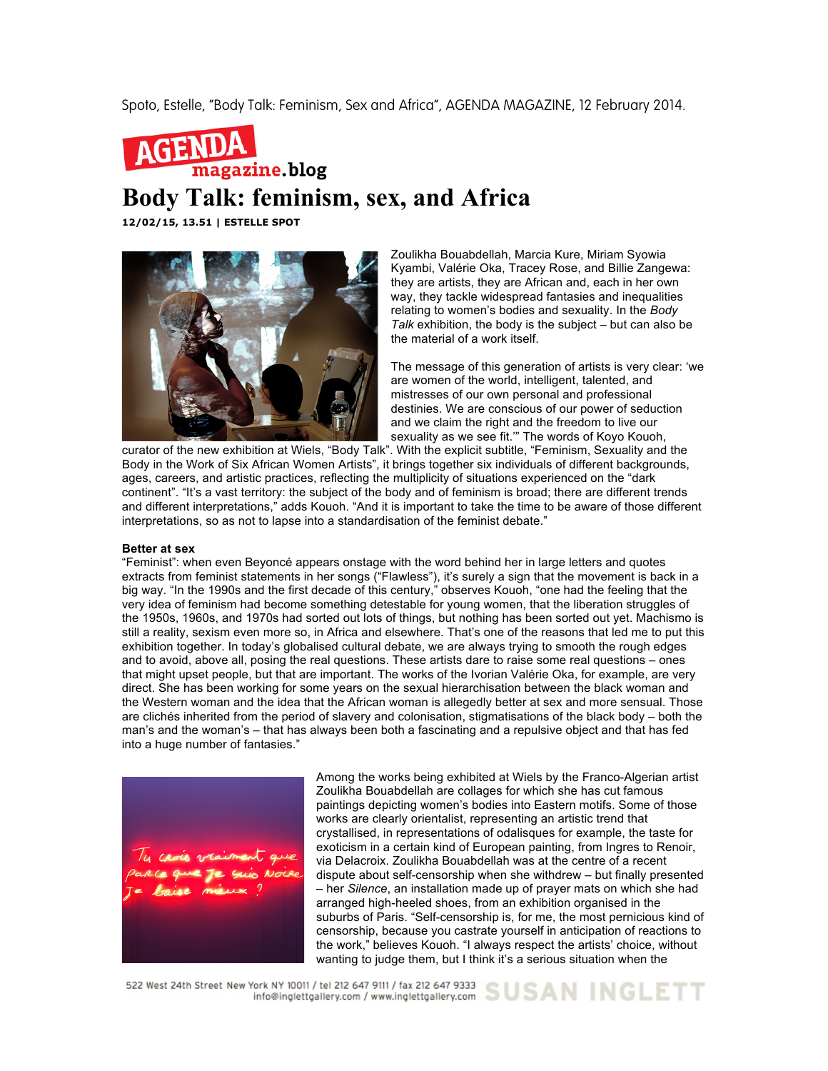Spoto, Estelle, "Body Talk: Feminism, Sex and Africa", AGENDA MAGAZINE, 12 February 2014.



## **Body Talk: feminism, sex, and Africa**

**12/02/15, 13.51 | ESTELLE SPOT**



Zoulikha Bouabdellah, Marcia Kure, Miriam Syowia Kyambi, Valérie Oka, Tracey Rose, and Billie Zangewa: they are artists, they are African and, each in her own way, they tackle widespread fantasies and inequalities relating to women's bodies and sexuality. In the *Body Talk* exhibition, the body is the subject – but can also be the material of a work itself.

The message of this generation of artists is very clear: 'we are women of the world, intelligent, talented, and mistresses of our own personal and professional destinies. We are conscious of our power of seduction and we claim the right and the freedom to live our sexuality as we see fit.'" The words of Koyo Kouoh,

curator of the new exhibition at Wiels, "Body Talk". With the explicit subtitle, "Feminism, Sexuality and the Body in the Work of Six African Women Artists", it brings together six individuals of different backgrounds, ages, careers, and artistic practices, reflecting the multiplicity of situations experienced on the "dark continent". "It's a vast territory: the subject of the body and of feminism is broad; there are different trends and different interpretations," adds Kouoh. "And it is important to take the time to be aware of those different interpretations, so as not to lapse into a standardisation of the feminist debate."

## **Better at sex**

"Feminist": when even Beyoncé appears onstage with the word behind her in large letters and quotes extracts from feminist statements in her songs ("Flawless"), it's surely a sign that the movement is back in a big way. "In the 1990s and the first decade of this century," observes Kouoh, "one had the feeling that the very idea of feminism had become something detestable for young women, that the liberation struggles of the 1950s, 1960s, and 1970s had sorted out lots of things, but nothing has been sorted out yet. Machismo is still a reality, sexism even more so, in Africa and elsewhere. That's one of the reasons that led me to put this exhibition together. In today's globalised cultural debate, we are always trying to smooth the rough edges and to avoid, above all, posing the real questions. These artists dare to raise some real questions – ones that might upset people, but that are important. The works of the Ivorian Valérie Oka, for example, are very direct. She has been working for some years on the sexual hierarchisation between the black woman and the Western woman and the idea that the African woman is allegedly better at sex and more sensual. Those are clichés inherited from the period of slavery and colonisation, stigmatisations of the black body – both the man's and the woman's – that has always been both a fascinating and a repulsive object and that has fed into a huge number of fantasies."



Among the works being exhibited at Wiels by the Franco-Algerian artist Zoulikha Bouabdellah are collages for which she has cut famous paintings depicting women's bodies into Eastern motifs. Some of those works are clearly orientalist, representing an artistic trend that crystallised, in representations of odalisques for example, the taste for exoticism in a certain kind of European painting, from Ingres to Renoir, via Delacroix. Zoulikha Bouabdellah was at the centre of a recent dispute about self-censorship when she withdrew – but finally presented – her *Silence*, an installation made up of prayer mats on which she had arranged high-heeled shoes, from an exhibition organised in the suburbs of Paris. "Self-censorship is, for me, the most pernicious kind of censorship, because you castrate yourself in anticipation of reactions to the work," believes Kouoh. "I always respect the artists' choice, without wanting to judge them, but I think it's a serious situation when the

522 West 24th Street New York NY 10011 / tel 212 647 9111 / fax 212 647 9333 SUSAN INGLETT